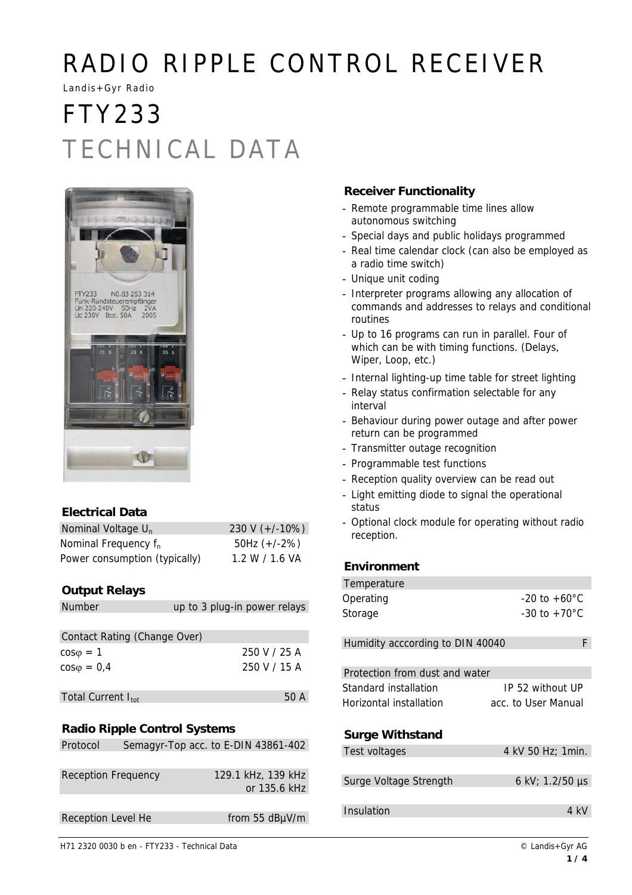# RADIO RIPPLE CONTROL RECEIVER

Landis+Gyr Radio

# FTY233 TECHNICAL DATA



## **Electrical Data**

| Nominal Voltage $U_n$            | 230 V $(+/-10%)$ |
|----------------------------------|------------------|
| Nominal Frequency f <sub>n</sub> | 50Hz $(+/-2%)$   |
| Power consumption (typically)    | 1.2 W / 1.6 VA   |

## **Output Relays**

| <b>Number</b>                       | up to 3 plug-in power relays        |  |  |  |
|-------------------------------------|-------------------------------------|--|--|--|
|                                     |                                     |  |  |  |
| Contact Rating (Change Over)        |                                     |  |  |  |
| $cos\varphi = 1$                    | 250 V / 25 A                        |  |  |  |
| $\cos\varphi = 0.4$                 | 250 V / 15 A                        |  |  |  |
|                                     |                                     |  |  |  |
| Total Current I <sub>tot</sub>      | 50 A                                |  |  |  |
|                                     |                                     |  |  |  |
| <b>Radio Ripple Control Systems</b> |                                     |  |  |  |
| Protocol                            | Semagyr-Top acc. to E-DIN 43861-402 |  |  |  |
|                                     |                                     |  |  |  |
| <b>Reception Frequency</b>          | 129.1 kHz, 139 kHz                  |  |  |  |

## return can be programmed

- *-* Transmitter outage recognition
- *-* Programmable test functions

**Receiver Functionality**

autonomous switching

a radio time switch) *-* Unique unit coding

Wiper, Loop, etc.)

routines

interval

*-* Remote programmable time lines allow

*-* Special days and public holidays programmed *-* Real time calendar clock (can also be employed as

*-* Interpreter programs allowing any allocation of commands and addresses to relays and conditional

*-* Up to 16 programs can run in parallel. Four of which can be with timing functions. (Delays,

*-* Internal lighting-up time table for street lighting *-* Relay status confirmation selectable for any

*-* Behaviour during power outage and after power

- *-* Reception quality overview can be read out
- *-* Light emitting diode to signal the operational status
- *-* Optional clock module for operating without radio reception.

### **Environment**

| Temperature                      |                          |
|----------------------------------|--------------------------|
| Operating                        | $-20$ to $+60^{\circ}$ C |
| Storage                          | $-30$ to $+70^{\circ}$ C |
|                                  |                          |
| Humidity acccording to DIN 40040 | F                        |
|                                  |                          |
| Protection from dust and water   |                          |
| Standard installation            | IP 52 without UP         |
| Horizontal installation          | acc. to User Manual      |
|                                  |                          |
| <b>Surge Withstand</b>           |                          |
| Test voltages                    | 4 kV 50 Hz; 1 min.       |
|                                  |                          |
| Surge Voltage Strength           | 6 kV; $1.2/50 \,\mu s$   |
|                                  |                          |
| Insulation                       | 4 kV                     |
|                                  |                          |

## or 135.6 kHz Reception Level He from 55 dBµV/m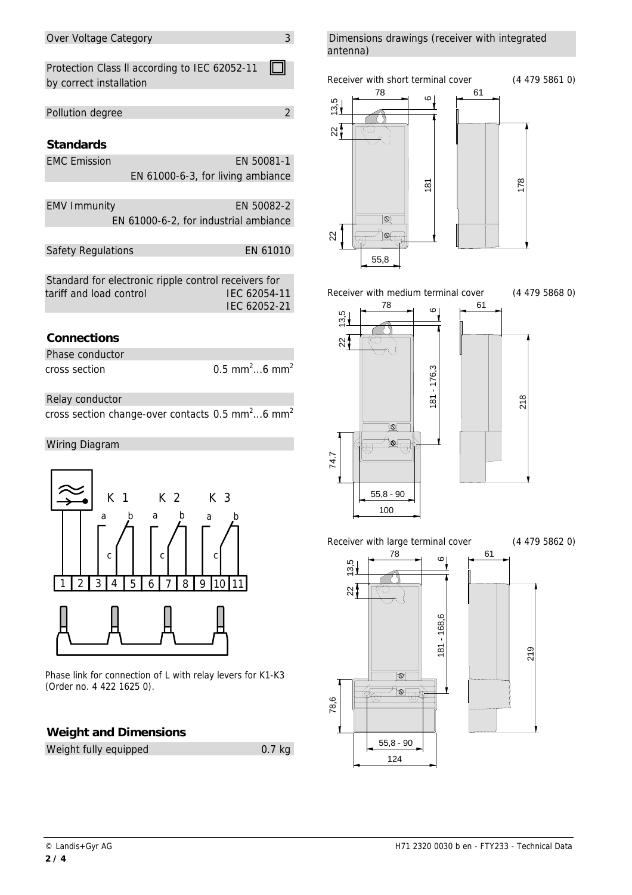#### Over Voltage Category 3

Protection Class ll according to IEC 62052-11 IГ ┒ by correct installation

## Pollution degree 2

## **Standards**

| <b>EMC</b> Emission | EN 50081-1                            |
|---------------------|---------------------------------------|
|                     | EN 61000-6-3, for living ambiance     |
|                     |                                       |
| <b>EMV Immunity</b> | EN 50082-2                            |
|                     | EN 61000-6-2, for industrial ambiance |
|                     |                                       |

Safety Regulations EN 61010

| Standard for electronic ripple control receivers for |              |
|------------------------------------------------------|--------------|
| tariff and load control                              | IEC 62054-11 |
|                                                      | IEC 62052-21 |

## **Connections**

| Phase conductor |                                       |
|-----------------|---------------------------------------|
| cross section   | 0.5 mm <sup>2</sup> 6 mm <sup>2</sup> |

Relay conductor

cross section change-over contacts 0.5 mm<sup>2</sup>...6 mm<sup>2</sup>

#### Wiring Diagram



Phase link for connection of L with relay levers for K1-K3 (Order no. 4 422 1625 0).

### **Weight and Dimensions**

| Weight fully equipped | $0.7$ kg |
|-----------------------|----------|
|-----------------------|----------|

Dimensions drawings (receiver with integrated antenna)







Receiver with medium terminal cover (4 479 5868 0)



Receiver with large terminal cover (4 479 5862 0)

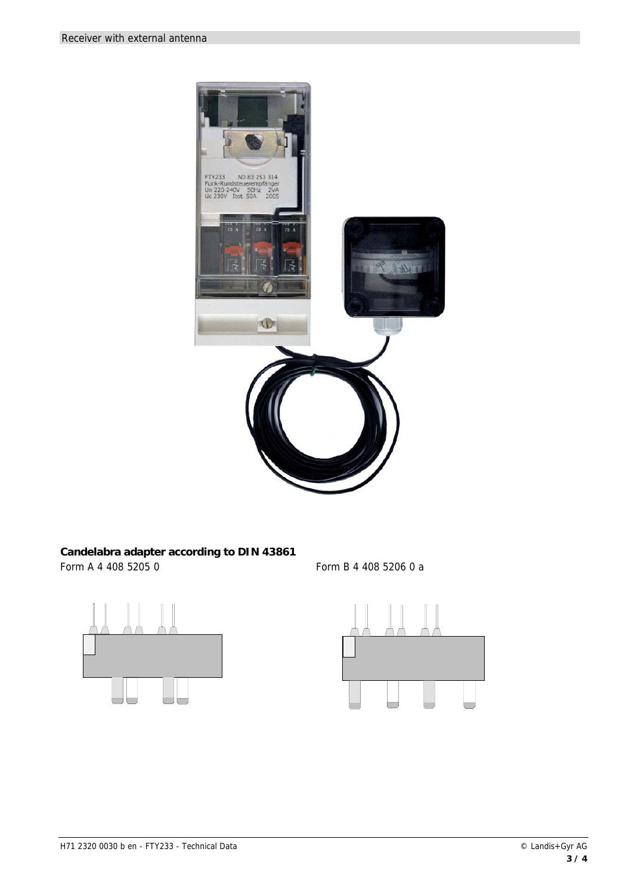

### **Candelabra adapter according to DIN 43861**  Form A 4 408 5205 0 Form B 4 408 5206 0 a